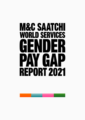# **M&C SAATCHI WORLD SERVICES** GENDER PAY GAP **REPORT 2021**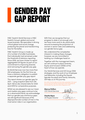## **GENDER PAY** gap report

M&C Saatchi World Services is M&C Saatchi Group's global and social issues business. We specialise in driving critical global and social change, protecting the planet and transforming lives for the better.

M&C Saatchi Group is made up of a number of smaller businesses, that individually had remained under the threshold of statutory reporting. Since 2018, we have chosen to report aggregated UK figures as part of our commitment to improving diversity and narrowing the gender pay gap.

As World Services now has more than 250 employees, for the first time we have a statutory obligation to publish a separate gender pay gap report.

This report shares our gender gap for 2021 – using snapshot data from 5th April. We've also shared data for 2020 and 2019 for comparative purposes.

Whilst we are pleased to see our mean and median pay gaps continue to be on a downward trend, we acknowledge that our gender pay and bonus gaps are still significant because of the disproportionate number of men in the most senior roles in our organisation.

With that, we recognise that our progress to date is not enough and we have more work to do, particularly around increasing the proportion of women in senior roles and addressing our gender bonus gap.

We understand the complexities inherent in making these changes, however, we are committed to tackling our challenges head on.

Together with the management team, we will continue to place Diversity, Equity and Inclusion (DE&I) at the heart of how we operate.

Our World Services and UK Group DE&I strategies, and the work of our Employee Led Networks, including the Equals (gender focused) and Family networks, will help us on this journey.

We confirm that the data and information presented in this report are accurate and meet the requirements of the UK Equality Act 2010 (Gender Pay Gap Information) Regulations 2017.

**Marcus Peffers**CEO World Services**Charlie Glynn** UK People Director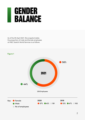### Gender balance

As of the 5th April 2021 (the snapshot date), the proportion of male and female employees at M&C Saatchi World Services is as follows.

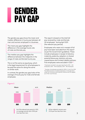### Genderpay gap

The gender pay gap shows the mean and median difference in hourly pay between all men and women employed in a business.

The mean pay gap highlights the difference in the average hourly rate of male and female pay.

The median pay gap highlights the difference between the midpoints in the range of male and female hourly pay.

This is not the same as equal pay, which is the legal requirement for all employees to be paid the same for doing the same or similar work.

In contrast, the gender pay gap looks at the average of hourly pay for male and female employees.

This report is based on the total full pay received by male and female UK employees**\*** during April 2021 (the relevant pay period).

Employees who were not in receipt of full pay have been excluded from the report as per the Government guidelines. These include employees in receipt of statutory maternity, paternity, adoption or shared parental leave pay, statutory sick pay, unpaid leave and Limited Liability partners. Five employees were excluded in 2021**\*\***.

**\***Employees included in pay gap reporting for 2021 – 253 employees, 2020 – 184 employees, 2019 – 160 employees

**\*\***Number of employees excluded for 2020 is 7 and 3 for 2019. The 2020 exclusions included employees on furlough leave under the Coronavirus job retention scheme and not topped up to their usual full pay.



As of the relevant pay period in 2021, on average women earn 27.6% per hour less than men.



At the midpoint, women earn 27.3% per hour less than men.

#### **Figure 2**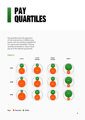### PA QUARTILES

Pay quartiles show the proportion of men and women in different pay bands, with the workforce divided into four equal parts (quartiles). The pay quartiles are based on mean hourly pay as of the relevant pay period.

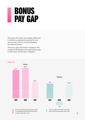### BONUS PAY GAP

This shows the mean and median difference in total bonus payments received by men and women in the 12 months preceding the relevant period.

The bonus gap information is based on the number of employees who received bonuses in 2021 which can be seen in Figure 5.



#### **Figure 4**

on average, women earn 84.1% less in bonus pay than men.

less in bonus payments than men.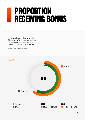## Proportion **RECEIVING BONUS**

The proportion of male and female UK employees**\*** who received a bonus in a 12-month period that preceded the relevant pay period is as follows:

**\***2021 – 85 Females, 63 Males, 2020 – 39 Females, 22 Males, 2019 – 49 Females, 44 Males.

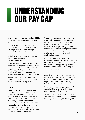### Understanding Our Pay Gap

When we collected our data on 5 April 2021, 56% of our employees were women and 44% were men.

Our mean gender pay gap was 27.6% and median gender pay gap was 27.3%. We are pleased to observe an ongoing downward trend since 2019. Over this three year period, we have seen a close to 15% improvement in the mean gender pay gap and a 7% improvement in the median gender pay gap.

We are heartened to observe an ongoing increase in the proportion of women in the upper pay quartile since 2019 – from 28% to 33% (figure 3). This demonstrates a welcome increase in the proportion of women occupying our most senior positions

We also note an increase in the proportion of women receiving a bonus from 56.3% in 2019 to 58.6% in 2021 (figure 5).

Whilst there has been an increase in the proportion of women in the upper pay quartile, this proportion remains lower than the overall proportion of women in the business. We also continue to see women over-represented in the lower and lower middle pay quartiles. We will continue our efforts to address this imbalance and increase the number of women in senior positions over time, and to achieve greater balance between the genders in the lower and lower middle pay quartiles.

Though we have seen more women than men receive bonuses this year, the gap in mean average bonus pay between men and women remains sizable at 84.1% in 2021. The significant gap in the mean average reflects the disproportionate number of men who occupy senior positions and have been awarded significant bonuses.

Moving forward we remain committed to reviewing and evolving our remuneration practices, as well as increasing the number of women who occupy senior positions to address this imbalance in bonus pay across the genders.

Overall, we are pleased to recognise an improvement in our gender pay gap whilst recognising that the gap continues and ongoing interventions are necessary to reduce and eliminate it overtime.

We are committed to stepping up our efforts around DE&I and further embedding the UK Groupwide DE&I strategy.

We will evolve our strategy and roadmap over time and provide regular updates both internally and externally on our progress.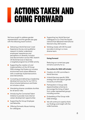## Actions Taken and Going Forward

We have sought to address gender representation and the gender pay gap with the following recent actions:

- Delivering a World Services' Lived Experience Survey and qualitative research to better understand employees' experiences and perceptions on diversity, inclusion and discrimination across M&C Saatchi UK World Services to feed into a targeted programme of DE&I activity.
- **•** Supporting the creation of, and implementation of, the UK Group DE&I strategy that fosters an inclusive environment and values difference with a roadmap of planned actions and interventions.
- Cocreating and delivering a leadership development journey for our CEO to drive inclusive behaviours and foster an inclusive culture.
- **•** Mandating diverse candidate shortlists for all senior roles.
- **•** Introducing the Connected Talent Initiative to provide more internal career development opportunities
- **•** Supporting the Group Employee Led Networks.
- **•** Offering Domestic Abuse training for colleagues.
- Supporting two World Services' colleagues to Co-Chair the Equals network that delivered International Women's Day 2021 events.
- **•** Working closely with DEI focused recruiters to bring in a more diverse team.

#### **Going Forward**

Reducing our current pay gap remains a priority for us.

#### **Our actions for 2022 will include:**

- **•** Creation of a DEI committee in World Services.
- **•** A World Services specific DE&I strategy that will support gender inclusivity at all levels.
- **•** Participation in Group wide Apprenticeships schemes to encourage the hiring of talent from under-represented groups including women.
- **•** Embedding of the Group wide DE&I strategy.
- **•** We will continue to openly share our findings and insight with the wider business.